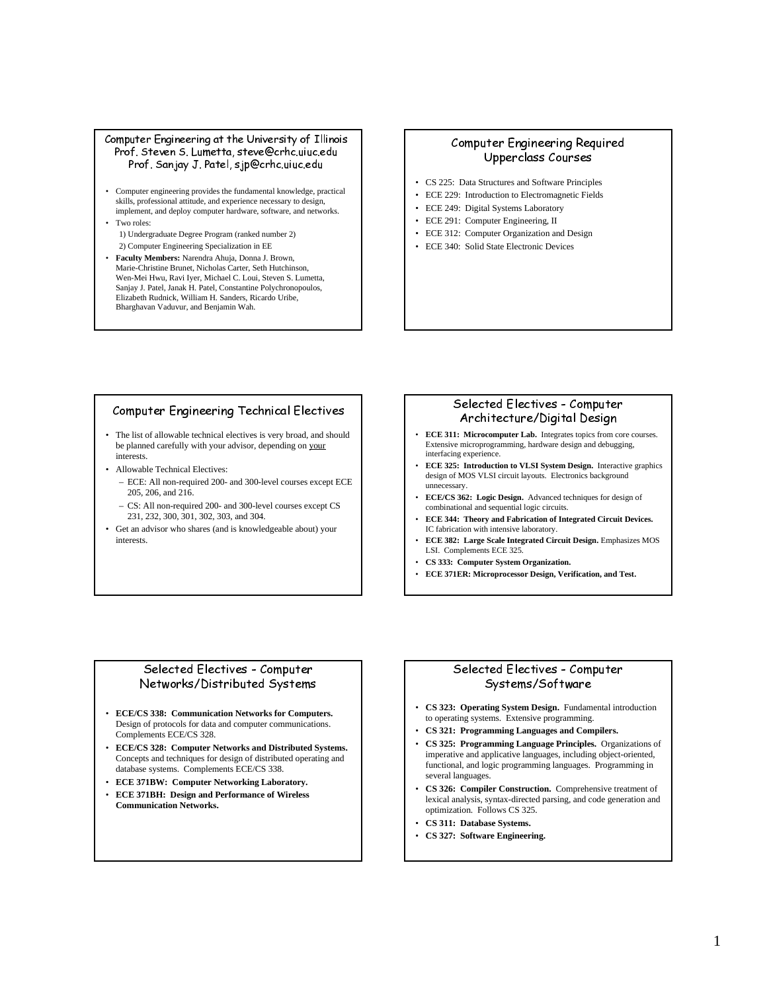#### Computer Engineering at the University of Illinois Prof. Steven S. Lumetta, steve@crhc.uiuc.edu Prof. Sanjay J. Patel, sjp@crhc.uiuc.edu

- Computer engineering provides the fundamental knowledge, practical skills, professional attitude, and experience necessary to design, implement, and deploy computer hardware, software, and networks.
- Two roles:

1) Undergraduate Degree Program (ranked number 2) 2) Computer Engineering Specialization in EE

• **Faculty Members:** Narendra Ahuja, Donna J. Brown, Marie-Christine Brunet, Nicholas Carter, Seth Hutchinson, Wen-Mei Hwu, Ravi Iyer, Michael C. Loui, Steven S. Lumetta, Sanjay J. Patel, Janak H. Patel, Constantine Polychronopoulos, Elizabeth Rudnick, William H. Sanders, Ricardo Uribe, Bharghavan Vaduvur, and Benjamin Wah.

# Computer Engineering Required Upperclass Courses

- CS 225: Data Structures and Software Principles
- ECE 229: Introduction to Electromagnetic Fields
- ECE 249: Digital Systems Laboratory
- ECE 291: Computer Engineering, II
- ECE 312: Computer Organization and Design
- ECE 340: Solid State Electronic Devices

# Computer Engineering Technical Electives

- The list of allowable technical electives is very broad, and should be planned carefully with your advisor, depending on your interests.
- Allowable Technical Electives:
	- ECE: All non-required 200- and 300-level courses except ECE 205, 206, and 216.
	- CS: All non-required 200- and 300-level courses except CS 231, 232, 300, 301, 302, 303, and 304.
- Get an advisor who shares (and is knowledgeable about) your interests.

#### Selected Electives - Computer Architecture/Digital Design

- **ECE 311: Microcomputer Lab.** Integrates topics from core courses. Extensive microprogramming, hardware design and debugging, interfacing experience.
- **ECE 325: Introduction to VLSI System Design.** Interactive graphics design of MOS VLSI circuit layouts. Electronics background unnecessary.
- **ECE/CS 362: Logic Design.** Advanced techniques for design of combinational and sequential logic circuits.
- **ECE 344: Theory and Fabrication of Integrated Circuit Devices.** IC fabrication with intensive laboratory.
- **ECE 382: Large Scale Integrated Circuit Design.** Emphasizes MOS LSI. Complements ECE 325.
- **CS 333: Computer System Organization.**
- **ECE 371ER: Microprocessor Design, Verification, and Test.**

# Selected Electives - Computer Networks/Distributed Systems

- **ECE/CS 338: Communication Networks for Computers.** Design of protocols for data and computer communications. Complements ECE/CS 328.
- **ECE/CS 328: Computer Networks and Distributed Systems.** Concepts and techniques for design of distributed operating and database systems. Complements ECE/CS 338.
- **ECE 371BW: Computer Networking Laboratory.**
- **ECE 371BH: Design and Performance of Wireless Communication Networks.**

# Selected Electives - Computer Systems/Software

- **CS 323: Operating System Design.** Fundamental introduction to operating systems. Extensive programming.
- **CS 321: Programming Languages and Compilers.**
- **CS 325: Programming Language Principles.** Organizations of imperative and applicative languages, including object-oriented, functional, and logic programming languages. Programming in several languages.
- **CS 326: Compiler Construction.** Comprehensive treatment of lexical analysis, syntax-directed parsing, and code generation and optimization. Follows CS 325.
- **CS 311: Database Systems.**
- **CS 327: Software Engineering.**